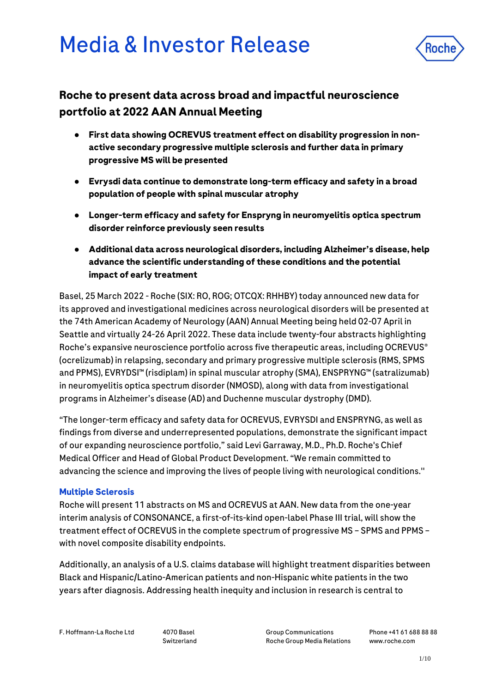# Media & Investor Release



# **Roche to present data across broad and impactful neuroscience portfolio at 2022 AAN Annual Meeting**

- **First data showing OCREVUS treatment effect on disability progression in nonactive secondary progressive multiple sclerosis and further data in primary progressive MS will be presented**
- **Evrysdi data continue to demonstrate long-term efficacy and safety in a broad population of people with spinal muscular atrophy**
- **Longer-term efficacy and safety for Enspryng in neuromyelitis optica spectrum disorder reinforce previously seen results**
- **Additional data across neurological disorders, including Alzheimer's disease, help advance the scientific understanding of these conditions and the potential impact of early treatment**

Basel, 25 March 2022 - Roche (SIX: RO, ROG; OTCQX: RHHBY) today announced new data for its approved and investigational medicines across neurological disorders will be presented at the 74th American Academy of Neurology (AAN) Annual Meeting being held 02-07 April in Seattle and virtually 24-26 April 2022. These data include twenty-four abstracts highlighting Roche's expansive neuroscience portfolio across five therapeutic areas, including OCREVUS<sup>®</sup> (ocrelizumab) in relapsing, secondary and primary progressive multiple sclerosis (RMS, SPMS and PPMS), EVRYDSI™ (risdiplam) in spinal muscular atrophy (SMA), ENSPRYNG™ (satralizumab) in neuromyelitis optica spectrum disorder (NMOSD), along with data from investigational programs in Alzheimer's disease (AD) and Duchenne muscular dystrophy (DMD).

"The longer-term efficacy and safety data for OCREVUS, EVRYSDI and ENSPRYNG, as well as findings from diverse and underrepresented populations, demonstrate the significant impact of our expanding neuroscience portfolio," said Levi Garraway, M.D., Ph.D. Roche's Chief Medical Officer and Head of Global Product Development. "We remain committed to advancing the science and improving the lives of people living with neurological conditions.''

# **Multiple Sclerosis**

Roche will present 11 abstracts on MS and OCREVUS at AAN. New data from the one-year interim analysis of CONSONANCE, a first-of-its-kind open-label Phase III trial, will show the treatment effect of OCREVUS in the complete spectrum of progressive MS – SPMS and PPMS – with novel composite disability endpoints.

Additionally, an analysis of a U.S. claims database will highlight treatment disparities between Black and Hispanic/Latino-American patients and non-Hispanic white patients in the two years after diagnosis. Addressing health inequity and inclusion in research is central to

F. Hoffmann-La Roche Ltd 4070 Basel

Switzerland

Group Communications Roche Group Media Relations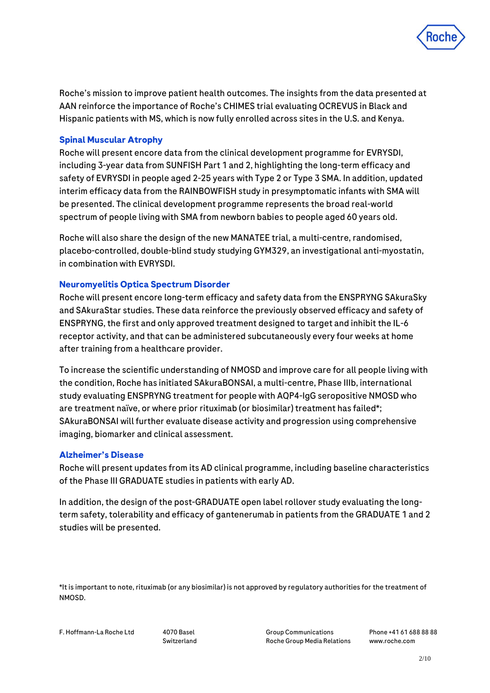

Roche's mission to improve patient health outcomes. The insights from the data presented at AAN reinforce the importance of Roche's CHIMES trial evaluating OCREVUS in Black and Hispanic patients with MS, which is now fully enrolled across sites in the U.S. and Kenya.

# **Spinal Muscular Atrophy**

Roche will present encore data from the clinical development programme for EVRYSDI, including 3-year data from SUNFISH Part 1 and 2, highlighting the long-term efficacy and safety of EVRYSDI in people aged 2-25 years with Type 2 or Type 3 SMA. In addition, updated interim efficacy data from the RAINBOWFISH study in presymptomatic infants with SMA will be presented. The clinical development programme represents the broad real-world spectrum of people living with SMA from newborn babies to people aged 60 years old.

Roche will also share the design of the new MANATEE trial, a multi-centre, randomised, placebo-controlled, double-blind study studying GYM329, an investigational anti-myostatin, in combination with EVRYSDI.

# **Neuromyelitis Optica Spectrum Disorder**

Roche will present encore long-term efficacy and safety data from the ENSPRYNG SAkuraSky and SAkuraStar studies. These data reinforce the previously observed efficacy and safety of ENSPRYNG, the first and only approved treatment designed to target and inhibit the IL-6 receptor activity, and that can be administered subcutaneously every four weeks at home after training from a healthcare provider.

To increase the scientific understanding of NMOSD and improve care for all people living with the condition, Roche has initiated SAkuraBONSAI, a multi-centre, Phase IIIb, international study evaluating ENSPRYNG treatment for people with AQP4-IgG seropositive NMOSD who are treatment naïve, or where prior rituximab (or biosimilar) treatment has failed\*; SAkuraBONSAI will further evaluate disease activity and progression using comprehensive imaging, biomarker and clinical assessment.

#### **Alzheimer's Disease**

Roche will present updates from its AD clinical programme, including baseline characteristics of the Phase III GRADUATE studies in patients with early AD.

In addition, the design of the post-GRADUATE open label rollover study evaluating the longterm safety, tolerability and efficacy of gantenerumab in patients from the GRADUATE 1 and 2 studies will be presented.

\*It is important to note, rituximab (or any biosimilar) is not approved by regulatory authorities for the treatment of NMOSD.

Switzerland

Group Communications Roche Group Media Relations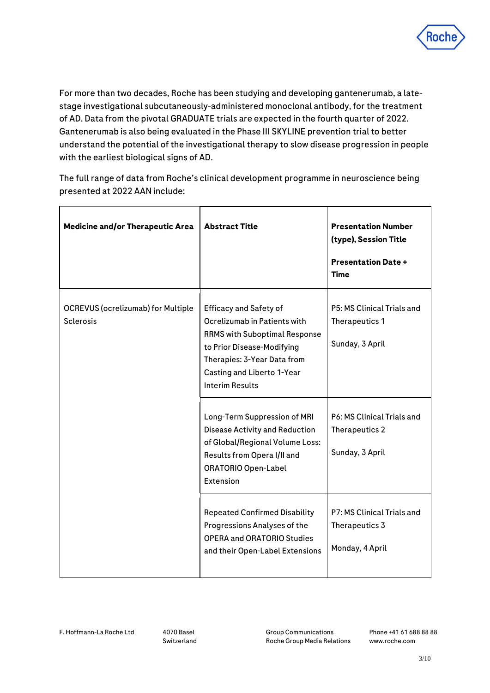

For more than two decades, Roche has been studying and developing gantenerumab, a latestage investigational subcutaneously-administered monoclonal antibody, for the treatment of AD. Data from the pivotal GRADUATE trials are expected in the fourth quarter of 2022. Gantenerumab is also being evaluated in the Phase III SKYLINE prevention trial to better understand the potential of the investigational therapy to slow disease progression in people with the earliest biological signs of AD.

The full range of data from Roche's clinical development programme in neuroscience being presented at 2022 AAN include:

| <b>Medicine and/or Therapeutic Area</b>                       | <b>Abstract Title</b>                                                                                                                                                                                                      | <b>Presentation Number</b><br>(type), Session Title<br><b>Presentation Date +</b><br><b>Time</b> |
|---------------------------------------------------------------|----------------------------------------------------------------------------------------------------------------------------------------------------------------------------------------------------------------------------|--------------------------------------------------------------------------------------------------|
| <b>OCREVUS (ocrelizumab) for Multiple</b><br><b>Sclerosis</b> | <b>Efficacy and Safety of</b><br>Ocrelizumab in Patients with<br><b>RRMS with Suboptimal Response</b><br>to Prior Disease-Modifying<br>Therapies: 3-Year Data from<br>Casting and Liberto 1-Year<br><b>Interim Results</b> | P5: MS Clinical Trials and<br>Therapeutics 1<br>Sunday, 3 April                                  |
|                                                               | Long-Term Suppression of MRI<br><b>Disease Activity and Reduction</b><br>of Global/Regional Volume Loss:<br>Results from Opera I/II and<br><b>ORATORIO Open-Label</b><br>Extension                                         | P6: MS Clinical Trials and<br>Therapeutics 2<br>Sunday, 3 April                                  |
|                                                               | <b>Repeated Confirmed Disability</b><br>Progressions Analyses of the<br><b>OPERA and ORATORIO Studies</b><br>and their Open-Label Extensions                                                                               | P7: MS Clinical Trials and<br>Therapeutics 3<br>Monday, 4 April                                  |

Group Communications Roche Group Media Relations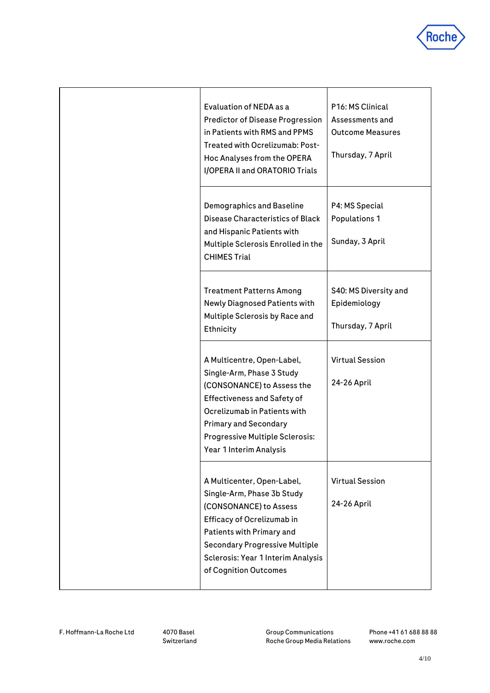

| Evaluation of NEDA as a<br><b>Predictor of Disease Progression</b><br>in Patients with RMS and PPMS<br>Treated with Ocrelizumab: Post-<br>Hoc Analyses from the OPERA<br>I/OPERA II and ORATORIO Trials                                                          | P16: MS Clinical<br>Assessments and<br><b>Outcome Measures</b><br>Thursday, 7 April |
|------------------------------------------------------------------------------------------------------------------------------------------------------------------------------------------------------------------------------------------------------------------|-------------------------------------------------------------------------------------|
| Demographics and Baseline<br>Disease Characteristics of Black<br>and Hispanic Patients with<br>Multiple Sclerosis Enrolled in the<br><b>CHIMES Trial</b>                                                                                                         | P4: MS Special<br><b>Populations 1</b><br>Sunday, 3 April                           |
| <b>Treatment Patterns Among</b><br>Newly Diagnosed Patients with<br>Multiple Sclerosis by Race and<br>Ethnicity                                                                                                                                                  | S40: MS Diversity and<br>Epidemiology<br>Thursday, 7 April                          |
| A Multicentre, Open-Label,<br>Single-Arm, Phase 3 Study<br>(CONSONANCE) to Assess the<br><b>Effectiveness and Safety of</b><br>Ocrelizumab in Patients with<br><b>Primary and Secondary</b><br><b>Progressive Multiple Sclerosis:</b><br>Year 1 Interim Analysis | <b>Virtual Session</b><br>24-26 April                                               |
| A Multicenter, Open-Label,<br>Single-Arm, Phase 3b Study<br>(CONSONANCE) to Assess<br>Efficacy of Ocrelizumab in<br>Patients with Primary and<br><b>Secondary Progressive Multiple</b><br>Sclerosis: Year 1 Interim Analysis<br>of Cognition Outcomes            | <b>Virtual Session</b><br>24-26 April                                               |

F. Hoffmann-La Roche Ltd 4070 Basel

Switzerland

Group Communications Roche Group Media Relations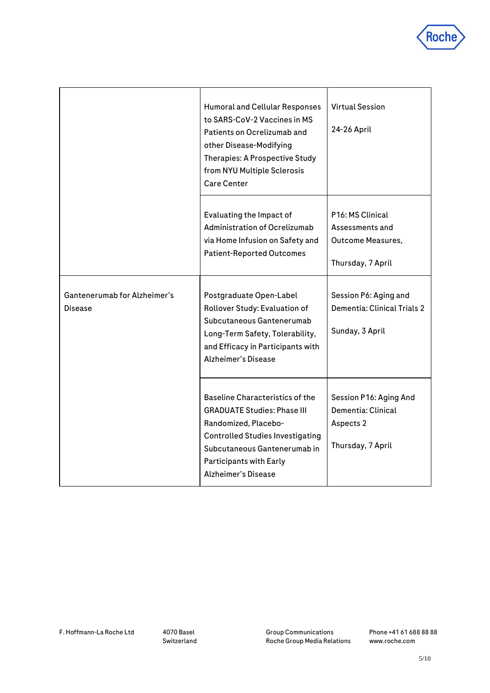

|                                                | Humoral and Cellular Responses<br>to SARS-CoV-2 Vaccines in MS<br>Patients on Ocrelizumab and<br>other Disease-Modifying<br>Therapies: A Prospective Study<br>from NYU Multiple Sclerosis<br><b>Care Center</b>                                 | <b>Virtual Session</b><br>24-26 April                                                |
|------------------------------------------------|-------------------------------------------------------------------------------------------------------------------------------------------------------------------------------------------------------------------------------------------------|--------------------------------------------------------------------------------------|
|                                                | Evaluating the Impact of<br>Administration of Ocrelizumab<br>via Home Infusion on Safety and<br><b>Patient-Reported Outcomes</b>                                                                                                                | P16: MS Clinical<br>Assessments and<br><b>Outcome Measures,</b><br>Thursday, 7 April |
| Gantenerumab for Alzheimer's<br><b>Disease</b> | Postgraduate Open-Label<br>Rollover Study: Evaluation of<br>Subcutaneous Gantenerumab<br>Long-Term Safety, Tolerability,<br>and Efficacy in Participants with<br><b>Alzheimer's Disease</b>                                                     | Session P6: Aging and<br>Dementia: Clinical Trials 2<br>Sunday, 3 April              |
|                                                | <b>Baseline Characteristics of the</b><br><b>GRADUATE Studies: Phase III</b><br>Randomized, Placebo-<br><b>Controlled Studies Investigating</b><br>Subcutaneous Gantenerumab in<br><b>Participants with Early</b><br><b>Alzheimer's Disease</b> | Session P16: Aging And<br>Dementia: Clinical<br>Aspects 2<br>Thursday, 7 April       |

Group Communications Roche Group Media Relations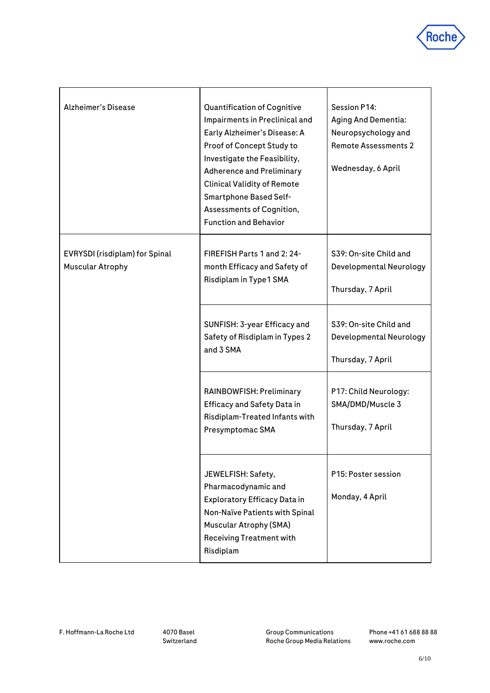

| Alzheimer's Disease                                       | <b>Quantification of Cognitive</b><br>Impairments in Preclinical and<br>Early Alzheimer's Disease: A<br>Proof of Concept Study to<br>Investigate the Feasibility,<br><b>Adherence and Preliminary</b><br><b>Clinical Validity of Remote</b><br>Smartphone Based Self-<br>Assessments of Cognition,<br><b>Function and Behavior</b> | <b>Session P14:</b><br><b>Aging And Dementia:</b><br>Neuropsychology and<br><b>Remote Assessments 2</b><br>Wednesday, 6 April |
|-----------------------------------------------------------|------------------------------------------------------------------------------------------------------------------------------------------------------------------------------------------------------------------------------------------------------------------------------------------------------------------------------------|-------------------------------------------------------------------------------------------------------------------------------|
| EVRYSDI (risdiplam) for Spinal<br><b>Muscular Atrophy</b> | FIREFISH Parts 1 and 2: 24-<br>month Efficacy and Safety of<br>Risdiplam in Type1 SMA                                                                                                                                                                                                                                              | S39: On-site Child and<br>Developmental Neurology<br>Thursday, 7 April                                                        |
|                                                           | SUNFISH: 3-year Efficacy and<br>Safety of Risdiplam in Types 2<br>and 3 SMA                                                                                                                                                                                                                                                        | S39: On-site Child and<br>Developmental Neurology<br>Thursday, 7 April                                                        |
|                                                           | RAINBOWFISH: Preliminary<br><b>Efficacy and Safety Data in</b><br>Risdiplam-Treated Infants with<br>Presymptomac SMA                                                                                                                                                                                                               | P17: Child Neurology:<br>SMA/DMD/Muscle 3<br>Thursday, 7 April                                                                |
|                                                           | JEWELFISH: Safety,<br>Pharmacodynamic and<br><b>Exploratory Efficacy Data in</b><br>Non-Naïve Patients with Spinal<br><b>Muscular Atrophy (SMA)</b><br><b>Receiving Treatment with</b><br>Risdiplam                                                                                                                                | P15: Poster session<br>Monday, 4 April                                                                                        |

Group Communications Roche Group Media Relations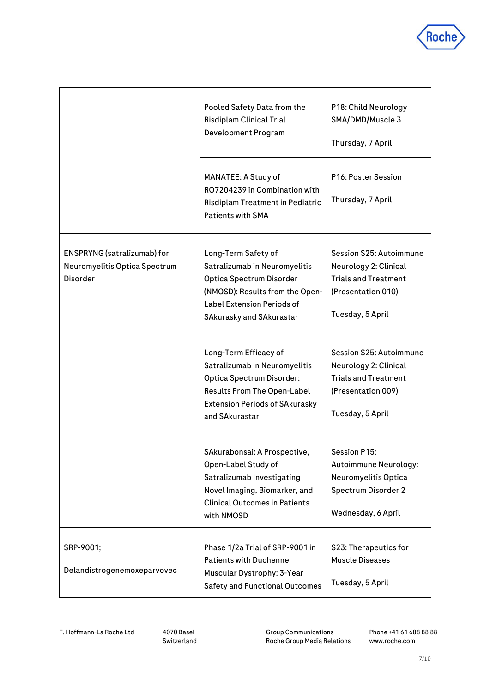

|                                                                                 | Pooled Safety Data from the<br>Risdiplam Clinical Trial<br>Development Program                                                                                                              | P18: Child Neurology<br>SMA/DMD/Muscle 3<br>Thursday, 7 April                                                             |
|---------------------------------------------------------------------------------|---------------------------------------------------------------------------------------------------------------------------------------------------------------------------------------------|---------------------------------------------------------------------------------------------------------------------------|
|                                                                                 | MANATEE: A Study of<br>RO7204239 in Combination with<br>Risdiplam Treatment in Pediatric<br><b>Patients with SMA</b>                                                                        | P16: Poster Session<br>Thursday, 7 April                                                                                  |
| ENSPRYNG (satralizumab) for<br>Neuromyelitis Optica Spectrum<br><b>Disorder</b> | Long-Term Safety of<br>Satralizumab in Neuromyelitis<br>Optica Spectrum Disorder<br>(NMOSD): Results from the Open-<br><b>Label Extension Periods of</b><br><b>SAkurasky and SAkurastar</b> | Session S25: Autoimmune<br>Neurology 2: Clinical<br><b>Trials and Treatment</b><br>(Presentation 010)<br>Tuesday, 5 April |
|                                                                                 | Long-Term Efficacy of<br>Satralizumab in Neuromyelitis<br>Optica Spectrum Disorder:<br><b>Results From The Open-Label</b><br><b>Extension Periods of SAkurasky</b><br>and SAkurastar        | Session S25: Autoimmune<br>Neurology 2: Clinical<br><b>Trials and Treatment</b><br>(Presentation 009)<br>Tuesday, 5 April |
|                                                                                 | SAkurabonsai: A Prospective,<br>Open-Label Study of<br>Satralizumab Investigating<br>Novel Imaging, Biomarker, and<br><b>Clinical Outcomes in Patients</b><br>with NMOSD                    | Session P15:<br>Autoimmune Neurology:<br>Neuromyelitis Optica<br>Spectrum Disorder 2<br>Wednesday, 6 April                |
| SRP-9001;<br>Delandistrogenemoxeparvovec                                        | Phase 1/2a Trial of SRP-9001 in<br><b>Patients with Duchenne</b><br>Muscular Dystrophy: 3-Year<br><b>Safety and Functional Outcomes</b>                                                     | S23: Therapeutics for<br><b>Muscle Diseases</b><br>Tuesday, 5 April                                                       |

F. Hoffmann-La Roche Ltd 4070 Basel

Switzerland

Group Communications Roche Group Media Relations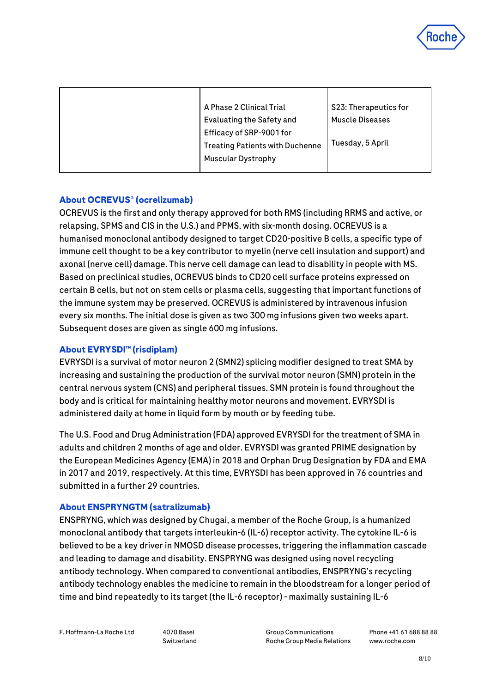

| A Phase 2 Clinical Trial               | S23: Therapeutics for  |
|----------------------------------------|------------------------|
| Evaluating the Safety and              | <b>Muscle Diseases</b> |
| Efficacy of SRP-9001 for               |                        |
| <b>Treating Patients with Duchenne</b> | Tuesday, 5 April       |
| <b>Muscular Dystrophy</b>              |                        |
|                                        |                        |

# **About OCREVUS® (ocrelizumab)**

OCREVUS is the first and only therapy approved for both RMS (including RRMS and active, or relapsing, SPMS and CIS in the U.S.) and PPMS, with six-month dosing. OCREVUS is a humanised monoclonal antibody designed to target CD20-positive B cells, a specific type of immune cell thought to be a key contributor to myelin (nerve cell insulation and support) and axonal (nerve cell) damage. This nerve cell damage can lead to disability in people with MS. Based on preclinical studies, OCREVUS binds to CD20 cell surface proteins expressed on certain B cells, but not on stem cells or plasma cells, suggesting that important functions of the immune system may be preserved. OCREVUS is administered by intravenous infusion every six months. The initial dose is given as two 300 mg infusions given two weeks apart. Subsequent doses are given as single 600 mg infusions.

#### **About EVRYSDI™ (risdiplam)**

EVRYSDI is a survival of motor neuron 2 (SMN2) splicing modifier designed to treat SMA by increasing and sustaining the production of the survival motor neuron (SMN) protein in the central nervous system (CNS) and peripheral tissues. SMN protein is found throughout the body and is critical for maintaining healthy motor neurons and movement. EVRYSDI is administered daily at home in liquid form by mouth or by feeding tube.

The U.S. Food and Drug Administration (FDA) approved EVRYSDI for the treatment of SMA in adults and children 2 months of age and older. EVRYSDI was granted PRIME designation by the European Medicines Agency (EMA) in 2018 and Orphan Drug Designation by FDA and EMA in 2017 and 2019, respectively. At this time, EVRYSDI has been approved in 76 countries and submitted in a further 29 countries.

#### **About ENSPRYNGTM (satralizumab)**

ENSPRYNG, which was designed by Chugai, a member of the Roche Group, is a humanized monoclonal antibody that targets interleukin-6 (IL-6) receptor activity. The cytokine IL-6 is believed to be a key driver in NMOSD disease processes, triggering the inflammation cascade and leading to damage and disability. ENSPRYNG was designed using novel recycling antibody technology. When compared to conventional antibodies, ENSPRYNG's recycling antibody technology enables the medicine to remain in the bloodstream for a longer period of time and bind repeatedly to its target (the IL-6 receptor) - maximally sustaining IL-6

F. Hoffmann-La Roche Ltd 4070 Basel

Switzerland

Group Communications Roche Group Media Relations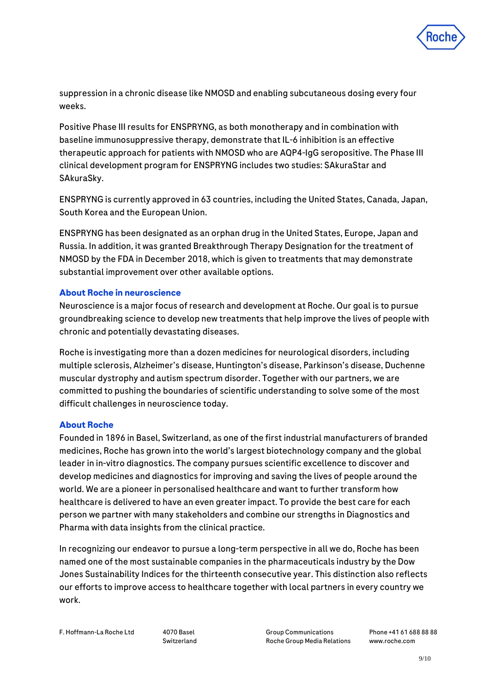

suppression in a chronic disease like NMOSD and enabling subcutaneous dosing every four weeks.

Positive Phase III results for ENSPRYNG, as both monotherapy and in combination with baseline immunosuppressive therapy, demonstrate that IL-6 inhibition is an effective therapeutic approach for patients with NMOSD who are AQP4-IgG seropositive. The Phase III clinical development program for ENSPRYNG includes two studies: SAkuraStar and SAkuraSky.

ENSPRYNG is currently approved in 63 countries, including the United States, Canada, Japan, South Korea and the European Union.

ENSPRYNG has been designated as an orphan drug in the United States, Europe, Japan and Russia. In addition, it was granted Breakthrough Therapy Designation for the treatment of NMOSD by the FDA in December 2018, which is given to treatments that may demonstrate substantial improvement over other available options.

#### **About Roche in neuroscience**

Neuroscience is a major focus of research and development at Roche. Our goal is to pursue groundbreaking science to develop new treatments that help improve the lives of people with chronic and potentially devastating diseases.

Roche is investigating more than a dozen medicines for neurological disorders, including multiple sclerosis, Alzheimer's disease, Huntington's disease, Parkinson's disease, Duchenne muscular dystrophy and autism spectrum disorder. Together with our partners, we are committed to pushing the boundaries of scientific understanding to solve some of the most difficult challenges in neuroscience today.

#### **About Roche**

Founded in 1896 in Basel, Switzerland, as one of the first industrial manufacturers of branded medicines, Roche has grown into the world's largest biotechnology company and the global leader in in-vitro diagnostics. The company pursues scientific excellence to discover and develop medicines and diagnostics for improving and saving the lives of people around the world. We are a pioneer in personalised healthcare and want to further transform how healthcare is delivered to have an even greater impact. To provide the best care for each person we partner with many stakeholders and combine our strengths in Diagnostics and Pharma with data insights from the clinical practice.

In recognizing our endeavor to pursue a long-term perspective in all we do, Roche has been named one of the most sustainable companies in the pharmaceuticals industry by the Dow Jones Sustainability Indices for the thirteenth consecutive year. This distinction also reflects our efforts to improve access to healthcare together with local partners in every country we work.

Switzerland

Group Communications Roche Group Media Relations